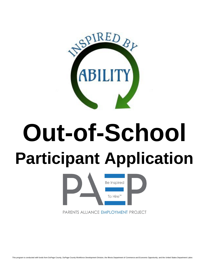

# **Out-of-School Participant Application**



PARENTS ALLIANCE EMPLOYMENT PROJECT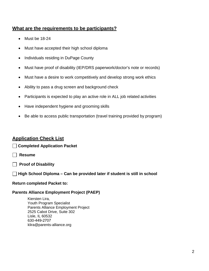### **What are the requirements to be participants?**

- Must be 18-24
- Must have accepted their high school diploma
- Individuals residing in DuPage County
- Must have proof of disability (IEP/DRS paperwork/doctor's note or records)
- Must have a desire to work competitively and develop strong work ethics
- Ability to pass a drug screen and background check
- Participants is expected to play an active role in ALL job related activities
- Have independent hygiene and grooming skills
- Be able to access public transportation (travel training provided by program)

#### **Application Check List**

**Completed Application Packet** 

- **Resume**
- **Proof of Disability**
- **High School Diploma Can be provided later if student is still in school**

#### **Return completed Packet to:**

#### **Parents Alliance Employment Project (PAEP)**

Kiersten Lira, Youth Program Specialist Parents Alliance Employment Project 2525 Cabot Drive, Suite 302 Lisle, IL 60532 630-449-2707 [klira@parents-alliance.org](mailto:klira@parents-alliance.org)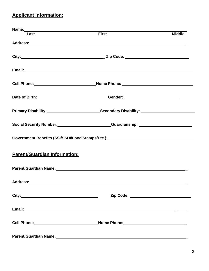# **Applicant Information:**

| Last                                | <b>First</b>                                                                                                                                                                                                                         | <b>Middle</b> |
|-------------------------------------|--------------------------------------------------------------------------------------------------------------------------------------------------------------------------------------------------------------------------------------|---------------|
|                                     |                                                                                                                                                                                                                                      |               |
|                                     |                                                                                                                                                                                                                                      |               |
|                                     |                                                                                                                                                                                                                                      |               |
|                                     |                                                                                                                                                                                                                                      |               |
|                                     | Date of Birth: Cambridge Communication Center: Communication Center:                                                                                                                                                                 |               |
|                                     |                                                                                                                                                                                                                                      |               |
|                                     | Social Security Number: Cambridge Control Control Control Control Control Control Control Control Control Control Control Control Control Control Control Control Control Control Control Control Control Control Control Cont       |               |
|                                     | Government Benefits (SSI/SSDI/Food Stamps/Etc.): _______________________________                                                                                                                                                     |               |
| <b>Parent/Guardian Information:</b> |                                                                                                                                                                                                                                      |               |
|                                     | Parent/Guardian Name: Manual Account of the Contract of the Contract of the Contract of the Contract of the Co                                                                                                                       |               |
|                                     |                                                                                                                                                                                                                                      |               |
|                                     | Zip Code: ________________________________                                                                                                                                                                                           |               |
|                                     | Email: <u>Alexander Alexander Alexander Alexander Alexander Alexander Alexander Alexander Alexander Alexander Alexander Alexander Alexander Alexander Alexander Alexander Alexander Alexander Alexander Alexander Alexander Alex</u> |               |
|                                     |                                                                                                                                                                                                                                      |               |
|                                     | Parent/Guardian Name: 1990 1990 1991 1992 1994 1994 1994 1994 1995 1996 1997 1998 1999 1999 1999 1999 1999 19                                                                                                                        |               |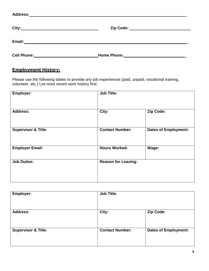| Address:    |                    |  |
|-------------|--------------------|--|
| City:       |                    |  |
| Email:      |                    |  |
| Cell Phone: | <b>Home Phone:</b> |  |

## **Employment History:**

Please use the following tables to provide any job experiences (paid, unpaid, vocational training, volunteer, etc.) List most recent work history first:

| Employer:                      | <b>Job Title:</b>          |                             |
|--------------------------------|----------------------------|-----------------------------|
| <b>Address:</b>                | City:                      | Zip Code:                   |
| <b>Supervisor &amp; Title:</b> | <b>Contact Number:</b>     | <b>Dates of Employment:</b> |
| <b>Employer Email:</b>         | <b>Hours Worked:</b>       | Wage:                       |
| <b>Job Duties:</b>             | <b>Reason for Leaving:</b> |                             |

| Employer:                      | <b>Job Title:</b>      |                             |
|--------------------------------|------------------------|-----------------------------|
| <b>Address:</b>                | City:                  | Zip Code:                   |
| <b>Supervisor &amp; Title:</b> | <b>Contact Number:</b> | <b>Dates of Employment:</b> |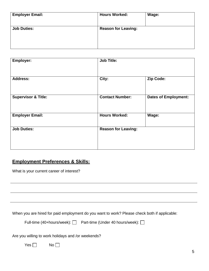| <b>Employer Email:</b> | <b>Hours Worked:</b>       | Wage: |
|------------------------|----------------------------|-------|
| <b>Job Duties:</b>     | <b>Reason for Leaving:</b> |       |
|                        |                            |       |

| Employer:                      | <b>Job Title:</b>          |                             |
|--------------------------------|----------------------------|-----------------------------|
| <b>Address:</b>                | City:                      | Zip Code:                   |
| <b>Supervisor &amp; Title:</b> | <b>Contact Number:</b>     | <b>Dates of Employment:</b> |
| <b>Employer Email:</b>         | <b>Hours Worked:</b>       | Wage:                       |
| <b>Job Duties:</b>             | <b>Reason for Leaving:</b> |                             |

#### **Employment Preferences & Skills:**

What is your current career of interest?

When you are hired for paid employment do you want to work? Please check both if applicable:

| Full-time (40+hours/week): □ | Part-time (Under 40 hours/week): □ |
|------------------------------|------------------------------------|
|------------------------------|------------------------------------|

Are you willing to work holidays and /or weekends?

 $Yes \Box$  No  $\Box$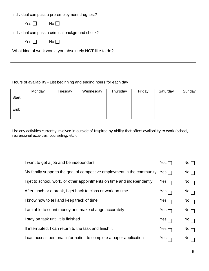Individual can pass a pre-employment drug test?

 $Yes \Box$  No  $\Box$ 

Individual can pass a criminal background check?

 $Yes \Box$  No

What kind of work would you absolutely NOT like to do?

Hours of availability - List beginning and ending hours for each day

|        | Monday | Tuesday | Wednesday | Thursday | Friday | Saturday | Sunday |
|--------|--------|---------|-----------|----------|--------|----------|--------|
| Start: |        |         |           |          |        |          |        |
| End:   |        |         |           |          |        |          |        |

List any activities currently involved in outside of Inspired by Ability that affect availability to work (school, recreational activities, counseling, etc):

| I want to get a job and be independent                                 | Yes              | $\mathsf{No} \, \Box$        |
|------------------------------------------------------------------------|------------------|------------------------------|
| My family supports the goal of competitive employment in the community | Yes $\Box$       | $No \Box$                    |
| I get to school, work, or other appointments on time and independently | Yes <sub>l</sub> | $\mathsf{No} \sqcap$         |
| After lunch or a break, I get back to class or work on time            | Yes $\sqsubset$  | $No \sqcap$                  |
| I know how to tell and keep track of time                              | Yes $\sqsubset$  | $No \frown$                  |
| I am able to count money and make change accurately                    | Yes $_\Box$      | $\mathsf{No} \longleftarrow$ |
| I stay on task until it is finished                                    | Yes $\sqsubset$  | $\mathsf{No}$ $\Box$         |
| If interrupted, I can return to the task and finish it                 | Yes <sub>l</sub> | $No \rightarrow$             |
| I can access personal information to complete a paper application      | Yes              | No                           |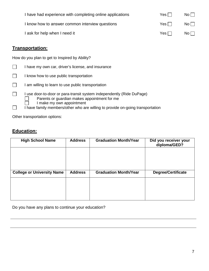| I have had experience with completing online applications | Yes $\Box$ | $No$      |
|-----------------------------------------------------------|------------|-----------|
| I know how to answer common interview questions           | $Yes \Box$ | No II     |
| I ask for help when I need it                             | Yes $\Box$ | $No \Box$ |

#### **Transportation:**

How do you plan to get to Inspired by Ability?

- $\Box$ I know how to use public transportation
- $\Box$ I am willing to learn to use public transportation
- $\Box$ I use door-to-door or para-transit system independently (Ride DuPage) Parents or guardian makes appointment for me  $\mathbb{R}^n$ 
	- I make my own appointment
- I have family members/other who are willing to provide on-going transportation  $\Box$

Other transportation options:

## **Education:**

┐

| <b>High School Name</b>           | <b>Address</b> | <b>Graduation Month/Year</b> | Did you receiver your<br>diploma/GED? |
|-----------------------------------|----------------|------------------------------|---------------------------------------|
|                                   |                |                              |                                       |
|                                   |                |                              |                                       |
|                                   |                |                              |                                       |
| <b>College or University Name</b> | <b>Address</b> | <b>Graduation Month/Year</b> | <b>Degree/Certificate</b>             |
|                                   |                |                              |                                       |
|                                   |                |                              |                                       |
|                                   |                |                              |                                       |

Do you have any plans to continue your education?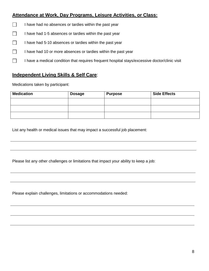#### **Attendance at Work, Day Programs, Leisure Activities, or Class:**

- I have had no absences or tardies within the past year  $\Box$
- $\Box$ I have had 1-5 absences or tardies within the past year
- $\Box$ I have had 5-10 absences or tardies within the past year
- $\Box$ I have had 10 or more absences or tardies within the past year
- $\Box$ I have a medical condition that requires frequent hospital stays/excessive doctor/clinic visit

#### **Independent Living Skills & Self Care**:

Medications taken by participant:

| <b>Medication</b> | <b>Dosage</b> | <b>Purpose</b> | <b>Side Effects</b> |
|-------------------|---------------|----------------|---------------------|
|                   |               |                |                     |
|                   |               |                |                     |
|                   |               |                |                     |

List any health or medical issues that may impact a successful job placement:

Please list any other challenges or limitations that impact your ability to keep a job:

Please explain challenges, limitations or accommodations needed: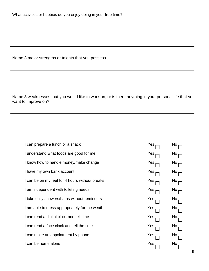What activities or hobbies do you enjoy doing in your free time?

Name 3 major strengths or talents that you possess.

Name 3 weaknesses that you would like to work on, or is there anything in your personal life that you want to improve on?

| I can prepare a lunch or a snack                 | Yes | <b>No</b>       |
|--------------------------------------------------|-----|-----------------|
| I understand what foods are good for me          | Yes | No              |
| I know how to handle money/make change           | Yes | No <sub>1</sub> |
| I have my own bank account                       | Yes | $\mathsf{No}$   |
| I can be on my feet for 4 hours without breaks   | Yes | No              |
| I am independent with toileting needs            | Yes | <b>No</b>       |
| I take daily showers/baths without reminders     | Yes | No              |
| I am able to dress appropriately for the weather | Yes | No              |
| I can read a digital clock and tell time         | Yes | No              |
| I can read a face clock and tell the time        | Yes | <b>No</b>       |
| I can make an appointment by phone               | Yes | No.             |
| I can be home alone                              | Yes | No.             |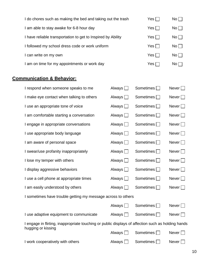| I do chores such as making the bed and taking out the trash  | Yes $\Box$   | $No \Box$ |
|--------------------------------------------------------------|--------------|-----------|
| I am able to stay awake for 6-8 hour day                     | Yes $\Box$   | $No \Box$ |
| I have reliable transportation to get to Inspired by Ability | Yes $\Box$   | No        |
| I followed my school dress code or work uniform              | Yes $\Box$   | No        |
| I can write on my own                                        | Yes $\Box$   | $No \Box$ |
| I am on time for my appointments or work day                 | Yes $\sqcap$ | No L      |

# **Communication & Behavior:**

| I respond when someone speaks to me                                                                | Always [      | Sometimes        | Never $\Box$    |  |  |  |
|----------------------------------------------------------------------------------------------------|---------------|------------------|-----------------|--|--|--|
| I make eye contact when talking to others                                                          | Always $\Box$ | Sometimes        | Never $\Box$    |  |  |  |
| I use an appropriate tone of voice                                                                 | Always $\Box$ | Sometimes $\Box$ | Never $\Box$    |  |  |  |
| I am comfortable starting a conversation                                                           | Always [      | Sometimes        | Never $\Box$    |  |  |  |
| I engage in appropriate conversations                                                              | Always [      | Sometimes        | Never $\Box$    |  |  |  |
| I use appropriate body language                                                                    | Always $\Box$ | Sometimes        | Never $\Box$    |  |  |  |
| I am aware of personal space                                                                       | Always $\Box$ | Sometimes $\Box$ | Never $\Box$    |  |  |  |
| I swear/use profanity inappropriately                                                              | Always $\Box$ | Sometimes        | Never $\Box$    |  |  |  |
| I lose my temper with others                                                                       | Always $\Box$ | Sometimes        | Never $\Box$    |  |  |  |
| I display aggressive behaviors                                                                     | Always $\Box$ | Sometimes        | Never $\Box$    |  |  |  |
| I use a cell phone at appropriate times                                                            | Always $\Box$ | Sometimes $\Box$ | Never $\Box$    |  |  |  |
| I am easily understood by others                                                                   | Always [      | Sometimes        | Never $\Box$    |  |  |  |
| I sometimes have trouble getting my message across to others                                       |               |                  |                 |  |  |  |
|                                                                                                    | Always        | Sometimes        | Never $\square$ |  |  |  |
| I use adaptive equipment to communicate                                                            | Always $\Box$ | Sometimes        | Never $\Box$    |  |  |  |
| I engage in flirting, inappropriate touching or public displays of affection such as holding hands |               |                  |                 |  |  |  |
| hugging or kissing                                                                                 | Always [      | Sometimes        | Never $\Box$    |  |  |  |
| I work cooperatively with others                                                                   | <b>Always</b> | <b>Sometimes</b> | Never           |  |  |  |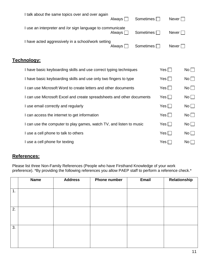| I talk about the same topics over and over again                      | Always $\Box$ | Sometimes $\Box$ |                 | Never $\Box$ |             |
|-----------------------------------------------------------------------|---------------|------------------|-----------------|--------------|-------------|
| I use an interpreter and /or sign language to communicate             | Always $\Box$ | Sometimes        |                 | $Never$      |             |
| I have acted aggressively in a school/work setting                    | Always $\Box$ | Sometimes $\Box$ |                 | Never        |             |
| <u>Technology:</u>                                                    |               |                  |                 |              |             |
| I have basic keyboarding skills and use correct typing techniques     |               |                  | $Yes \Box$      |              | $No$ $\Box$ |
| I have basic keyboarding skills and use only two fingers to type      |               |                  | $Yes$           |              | $No$        |
| I can use Microsoft Word to create letters and other documents        |               |                  | Yes $\Box$      |              | No          |
| I can use Microsoft Excel and create spreadsheets and other documents |               |                  | $Yes \mid \mid$ |              | $No$ $\Box$ |
| I use email correctly and regularly                                   |               |                  | Yes $\Box$      |              | No          |
| I can access the internet to get information                          |               |                  | Yes $\Box$      |              | No          |
| I can use the computer to play games, watch TV, and listen to music   |               |                  | Yes             |              | $No$        |
|                                                                       |               |                  |                 |              |             |

I use a cell phone to talk to others  $\Box$  No  $\Box$ 

I use a cell phone for texting  $\blacksquare$  No  $\blacksquare$ 

#### **References:**

Please list three Non-Family References (People who have Firsthand Knowledge of your work preference). \*By providing the following references you allow PAEP staff to perform a reference check.\*

|    | <b>Name</b> | <b>Address</b> | <b>Phone number</b> | Email | Relationship |
|----|-------------|----------------|---------------------|-------|--------------|
| 1. |             |                |                     |       |              |
| 2. |             |                |                     |       |              |
|    |             |                |                     |       |              |
| 3. |             |                |                     |       |              |
|    |             |                |                     |       |              |